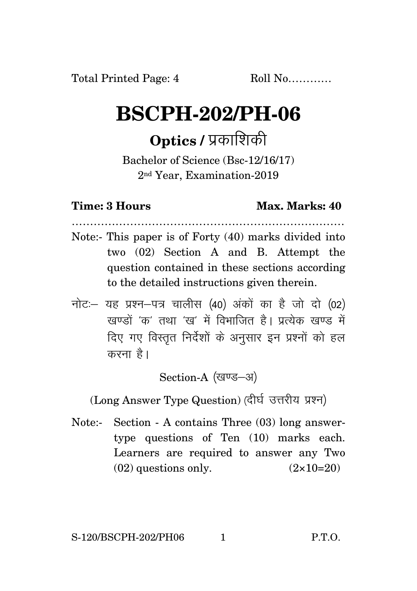## **BSCPH-202/PH-06**

## **Optics / प्रकाशिकी**

Bachelor of Science (Bsc-12/16/17) 2nd Year, Examination-2019

## **Time: 3 Hours Max. Marks: 40**

- ………………………………………………………………… Note:- This paper is of Forty (40) marks divided into two (02) Section A and B. Attempt the question contained in these sections according to the detailed instructions given therein.
- $\vec{\eta}$ नोटः यह प्रश्न-पत्र चालीस (40) अंकों का है जो दो (02) खण्डों *'क'* तथा 'ख' में विभाजित है। प्रत्येक खण्ड में दिए गए विस्तृत निर्देशों के अनुसार इन प्रश्नों को हल करना है।

Section-A (खण्ड-अ)

(Long Answer Type Question) (दीर्घ उत्तरीय प्रश्न)

Note:- Section - A contains Three (03) long answertype questions of Ten (10) marks each. Learners are required to answer any Two  $(02)$  questions only.  $(2 \times 10=20)$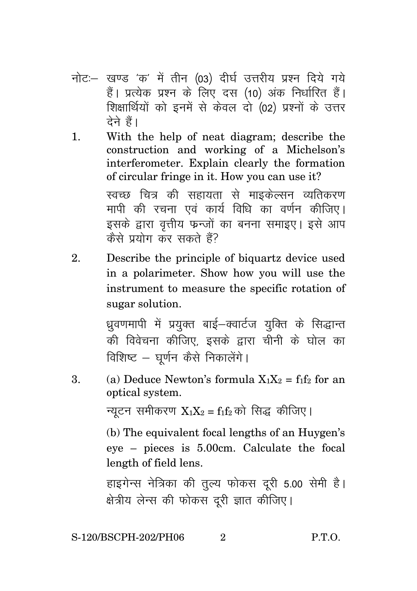- नोट: खण्ड 'क' में तीन (03) दीर्घ उत्तरीय प्रश्न दिये गये हैं। प्रत्येक प्रश्न के लिए दस (10) अंक निर्धारित हैं। शिक्षार्थियों को इनमें से केवल दो (02) प्रश्नों के उत्तर देने हैं।
- 1. With the help of neat diagram; describe the construction and working of a Michelson's interferometer. Explain clearly the formation of circular fringe in it. How you can use it? स्वच्छ चित्र की सहायता से माइकेल्सन व्यतिकरण

मापी की रचना एवं कार्य विधि का वर्णन कीजिए। इसके द्वारा वृत्तीय फन्जों का बनना समाइए। इसे आप कैसे प्रयोग कर सकते हैं?

2. Describe the principle of biquartz device used in a polarimeter. Show how you will use the instrument to measure the specific rotation of sugar solution.

> ध्रवणमापी में प्रयुक्त बाई–क्वार्टज युक्ति के सिद्धान्त की विवेचना कीजिए, इसके द्वारा चीनी के घोल का विशिष्ट – घूर्णन कैसे निकालेंगे।

3. (a) Deduce Newton's formula  $X_1X_2 = f_1f_2$  for an optical system.

न्यूटन समीकरण  $X_1X_2 = f_1f_2$ को सिद्ध कीजिए।

(b) The equivalent focal lengths of an Huygen's eye – pieces is 5.00cm. Calculate the focal length of field lens.

हाइगेन्स नेत्रिका की तुल्य फोकस दुरी 5.00 सेमी है। क्षेत्रीय लेन्स की फोकस दूरी ज्ञात कीजिए।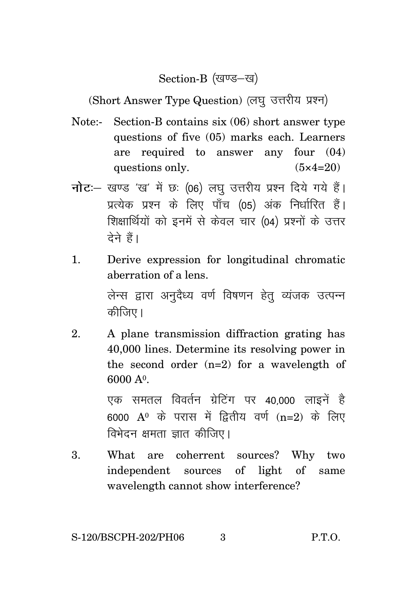Section-B (खण्ड–ख)

(Short Answer Type Question) (लघु उत्तरीय प्रश्न)

- Note:- Section-B contains six (06) short answer type questions of five (05) marks each. Learners are required to answer any four (04) questions only.  $(5 \times 4=20)$
- **नोट**: खण्ड 'ख' में छः (06) लघु उत्तरीय प्रश्न दिये गये हैं। प्रत्येक प्रश्न के लिए पाँच (05) अंक निर्धारित हैं। शिक्षार्थियों को इनमें से केवल चार (04) प्रश्नों के उत्तर टेने हैं।
- 1. Derive expression for longitudinal chromatic aberration of a lens.

लेन्स द्वारा अनुदैध्य वर्ण विषणन हेतु व्यंजक उत्पन्न कीजिए।

2. A plane transmission diffraction grating has 40,000 lines. Determine its resolving power in the second order (n=2) for a wavelength of 6000 A<sup>o</sup>.

> एक समतल विवर्तन ग्रेटिंग पर 40.000 लाइनें है 6000  $A^0$  के परास में द्वितीय वर्ण (n=2) के लिए विभेदन क्षमता ज्ञात कीजिए।

3. What are coherrent sources? Why two independent sources of light of same wavelength cannot show interference?